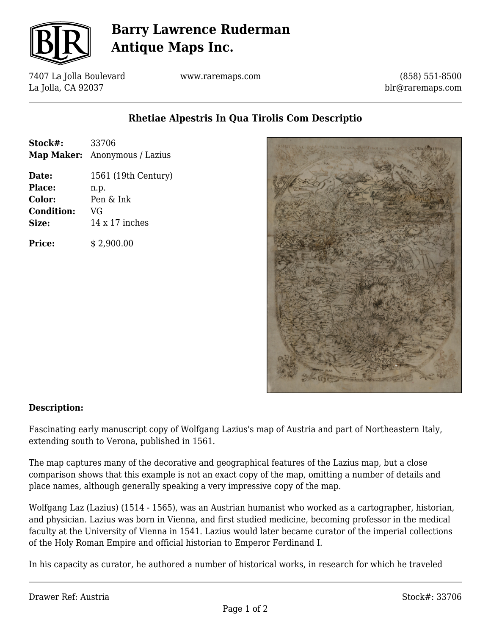

# **Barry Lawrence Ruderman Antique Maps Inc.**

7407 La Jolla Boulevard La Jolla, CA 92037

www.raremaps.com

(858) 551-8500 blr@raremaps.com

### **Rhetiae Alpestris In Qua Tirolis Com Descriptio**

| Stock#: | 33706                                |
|---------|--------------------------------------|
|         | <b>Map Maker:</b> Anonymous / Lazius |

**Date:** 1561 (19th Century) **Place:** n.p. **Color:** Pen & Ink **Condition:** VG **Size:** 14 x 17 inches

**Price:**  $\qquad$  \$ 2,900.00



#### **Description:**

Fascinating early manuscript copy of Wolfgang Lazius's map of Austria and part of Northeastern Italy, extending south to Verona, published in 1561.

The map captures many of the decorative and geographical features of the Lazius map, but a close comparison shows that this example is not an exact copy of the map, omitting a number of details and place names, although generally speaking a very impressive copy of the map.

Wolfgang Laz (Lazius) (1514 - 1565), was an Austrian humanist who worked as a cartographer, historian, and physician. Lazius was born in Vienna, and first studied medicine, becoming professor in the medical faculty at the University of Vienna in 1541. Lazius would later became curator of the imperial collections of the Holy Roman Empire and official historian to Emperor Ferdinand I.

In his capacity as curator, he authored a number of historical works, in research for which he traveled